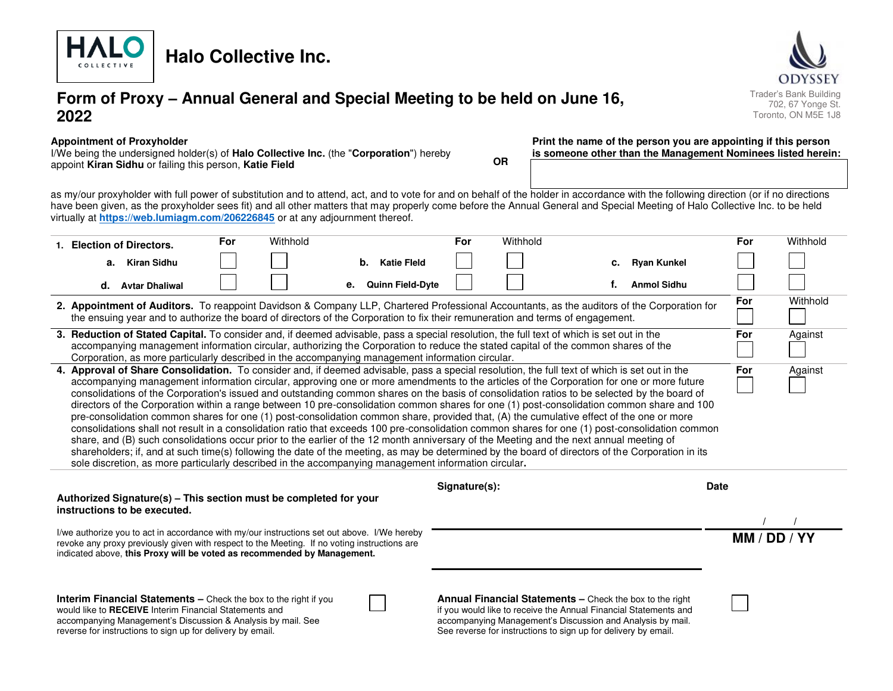

# **Form of Proxy – Annual General and Special Meeting to be held on June 16, 2022**



#### **Appointment of Proxyholder**

I/We being the undersigned holder(s) of **Halo Collective Inc.** (the "**Corporation**") hereby appoint **Kiran Sidhu** or failing this person, **Katie Field OR** **Print the name of the person you are appointing if this person is someone other than the Management Nominees listed herein:** 

as my/our proxyholder with full power of substitution and to attend, act, and to vote for and on behalf of the holder in accordance with the following direction (or if no directions have been given, as the proxyholder sees fit) and all other matters that may properly come before the Annual General and Special Meeting of Halo Collective Inc. to be held virtually at **<https://web.lumiagm.com/206226845>** or at any adjournment thereof.

|                                                                                                                                                                                                                                                                                                                                                                                                                                                                                                                                                                                                                                                                                                                                                                                                                                                                                                                                                                                                                                                                                                                                                                                                                                                                                                                  |  | 1. Election of Directors.                                                                                                                                                                                                                                              | For | Withhold |    |                         | For | Withhold                                                                                                                                                                                                                                                                      |    |                    |             | For          | Withhold |
|------------------------------------------------------------------------------------------------------------------------------------------------------------------------------------------------------------------------------------------------------------------------------------------------------------------------------------------------------------------------------------------------------------------------------------------------------------------------------------------------------------------------------------------------------------------------------------------------------------------------------------------------------------------------------------------------------------------------------------------------------------------------------------------------------------------------------------------------------------------------------------------------------------------------------------------------------------------------------------------------------------------------------------------------------------------------------------------------------------------------------------------------------------------------------------------------------------------------------------------------------------------------------------------------------------------|--|------------------------------------------------------------------------------------------------------------------------------------------------------------------------------------------------------------------------------------------------------------------------|-----|----------|----|-------------------------|-----|-------------------------------------------------------------------------------------------------------------------------------------------------------------------------------------------------------------------------------------------------------------------------------|----|--------------------|-------------|--------------|----------|
|                                                                                                                                                                                                                                                                                                                                                                                                                                                                                                                                                                                                                                                                                                                                                                                                                                                                                                                                                                                                                                                                                                                                                                                                                                                                                                                  |  | a. Kiran Sidhu                                                                                                                                                                                                                                                         |     |          | b. | <b>Katie Fleld</b>      |     |                                                                                                                                                                                                                                                                               | C. | <b>Ryan Kunkel</b> |             |              |          |
|                                                                                                                                                                                                                                                                                                                                                                                                                                                                                                                                                                                                                                                                                                                                                                                                                                                                                                                                                                                                                                                                                                                                                                                                                                                                                                                  |  | d. Avtar Dhaliwal                                                                                                                                                                                                                                                      |     |          | е. | <b>Quinn Field-Dyte</b> |     |                                                                                                                                                                                                                                                                               |    | <b>Anmol Sidhu</b> |             |              |          |
|                                                                                                                                                                                                                                                                                                                                                                                                                                                                                                                                                                                                                                                                                                                                                                                                                                                                                                                                                                                                                                                                                                                                                                                                                                                                                                                  |  |                                                                                                                                                                                                                                                                        |     |          |    |                         |     | 2. Appointment of Auditors. To reappoint Davidson & Company LLP, Chartered Professional Accountants, as the auditors of the Corporation for<br>the ensuing year and to authorize the board of directors of the Corporation to fix their remuneration and terms of engagement. |    |                    |             | For          | Withhold |
| 3. Reduction of Stated Capital. To consider and, if deemed advisable, pass a special resolution, the full text of which is set out in the<br>accompanying management information circular, authorizing the Corporation to reduce the stated capital of the common shares of the<br>Corporation, as more particularly described in the accompanying management information circular.                                                                                                                                                                                                                                                                                                                                                                                                                                                                                                                                                                                                                                                                                                                                                                                                                                                                                                                              |  |                                                                                                                                                                                                                                                                        |     |          |    |                         |     |                                                                                                                                                                                                                                                                               |    |                    | For         | Against      |          |
| 4. Approval of Share Consolidation. To consider and, if deemed advisable, pass a special resolution, the full text of which is set out in the<br>For<br>Against<br>accompanying management information circular, approving one or more amendments to the articles of the Corporation for one or more future<br>consolidations of the Corporation's issued and outstanding common shares on the basis of consolidation ratios to be selected by the board of<br>directors of the Corporation within a range between 10 pre-consolidation common shares for one (1) post-consolidation common share and 100<br>pre-consolidation common shares for one (1) post-consolidation common share, provided that, (A) the cumulative effect of the one or more<br>consolidations shall not result in a consolidation ratio that exceeds 100 pre-consolidation common shares for one (1) post-consolidation common<br>share, and (B) such consolidations occur prior to the earlier of the 12 month anniversary of the Meeting and the next annual meeting of<br>shareholders; if, and at such time(s) following the date of the meeting, as may be determined by the board of directors of the Corporation in its<br>sole discretion, as more particularly described in the accompanying management information circular. |  |                                                                                                                                                                                                                                                                        |     |          |    |                         |     |                                                                                                                                                                                                                                                                               |    |                    |             |              |          |
| Signature(s):                                                                                                                                                                                                                                                                                                                                                                                                                                                                                                                                                                                                                                                                                                                                                                                                                                                                                                                                                                                                                                                                                                                                                                                                                                                                                                    |  |                                                                                                                                                                                                                                                                        |     |          |    |                         |     |                                                                                                                                                                                                                                                                               |    |                    |             |              |          |
|                                                                                                                                                                                                                                                                                                                                                                                                                                                                                                                                                                                                                                                                                                                                                                                                                                                                                                                                                                                                                                                                                                                                                                                                                                                                                                                  |  |                                                                                                                                                                                                                                                                        |     |          |    |                         |     |                                                                                                                                                                                                                                                                               |    |                    | <b>Date</b> |              |          |
|                                                                                                                                                                                                                                                                                                                                                                                                                                                                                                                                                                                                                                                                                                                                                                                                                                                                                                                                                                                                                                                                                                                                                                                                                                                                                                                  |  | Authorized Signature(s) - This section must be completed for your<br>instructions to be executed.                                                                                                                                                                      |     |          |    |                         |     |                                                                                                                                                                                                                                                                               |    |                    |             |              |          |
|                                                                                                                                                                                                                                                                                                                                                                                                                                                                                                                                                                                                                                                                                                                                                                                                                                                                                                                                                                                                                                                                                                                                                                                                                                                                                                                  |  | I/we authorize you to act in accordance with my/our instructions set out above. I/We hereby<br>revoke any proxy previously given with respect to the Meeting. If no voting instructions are<br>indicated above, this Proxy will be voted as recommended by Management. |     |          |    |                         |     |                                                                                                                                                                                                                                                                               |    |                    |             | MM / DD / YY |          |